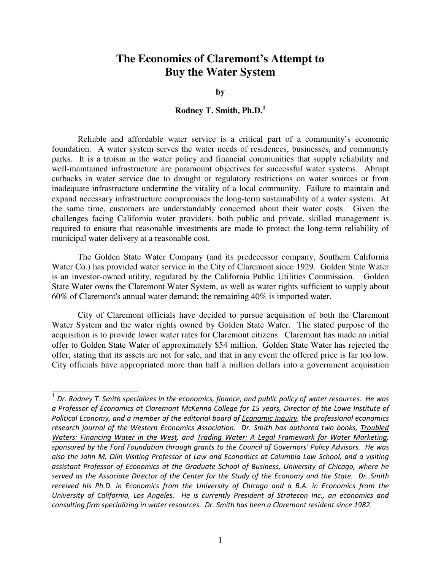**by** 

## **Rodney T. Smith, Ph.D.<sup>1</sup>**

Reliable and affordable water service is a critical part of a community's economic foundation. A water system serves the water needs of residences, businesses, and community parks. It is a truism in the water policy and financial communities that supply reliability and well-maintained infrastructure are paramount objectives for successful water systems. Abrupt cutbacks in water service due to drought or regulatory restrictions on water sources or from inadequate infrastructure undermine the vitality of a local community. Failure to maintain and expand necessary infrastructure compromises the long-term sustainability of a water system. At the same time, customers are understandably concerned about their water costs. Given the challenges facing California water providers, both public and private, skilled management is required to ensure that reasonable investments are made to protect the long-term reliability of municipal water delivery at a reasonable cost.

The Golden State Water Company (and its predecessor company, Southern California Water Co.) has provided water service in the City of Claremont since 1929. Golden State Water is an investor-owned utility, regulated by the California Public Utilities Commission. Golden State Water owns the Claremont Water System, as well as water rights sufficient to supply about 60% of Claremont's annual water demand; the remaining 40% is imported water.

City of Claremont officials have decided to pursue acquisition of both the Claremont Water System and the water rights owned by Golden State Water. The stated purpose of the acquisition is to provide lower water rates for Claremont citizens. Claremont has made an initial offer to Golden State Water of approximately \$54 million. Golden State Water has rejected the offer, stating that its assets are not for sale, and that in any event the offered price is far too low. City officials have appropriated more than half a million dollars into a government acquisition

 $\frac{1}{\sqrt{1}}$  Dr. Rodney T. Smith specializes in the economics, finance, and public policy of water resources. He was a Professor of Economics at Claremont McKenna College for 15 years, Director of the Lowe Institute of Political Economy, and a member of the editorial board of Economic Inquiry, the professional economics research journal of the Western Economics Association. Dr. Smith has authored two books, Troubled Waters: Financing Water in the West, and Trading Water: A Legal Framework for Water Marketing, sponsored by the Ford Foundation through grants to the Council of Governors' Policy Advisors. He was also the John M. Olin Visiting Professor of Law and Economics at Columbia Law School, and a visiting assistant Professor of Economics at the Graduate School of Business, University of Chicago, where he served as the Associate Director of the Center for the Study of the Economy and the State. Dr. Smith received his Ph.D. in Economics from the University of Chicago and a B.A. in Economics from the University of California, Los Angeles. He is currently President of Stratecon Inc., an economics and consulting firm specializing in water resources. Dr. Smith has been a Claremont resident since 1982.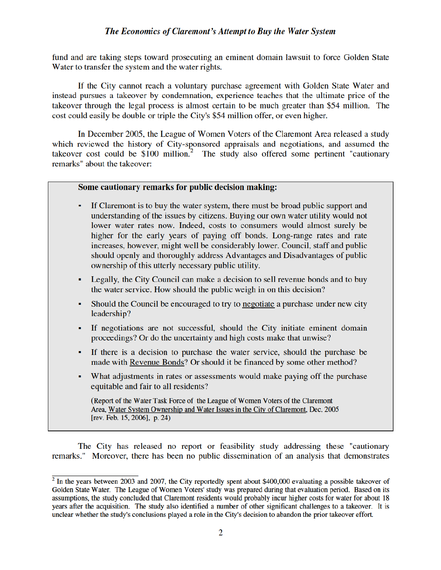fund and are taking steps toward prosecuting an eminent domain lawsuit to force Golden State Water to transfer the system and the water rights.

If the City cannot reach a voluntary purchase agreement with Golden State Water and instead pursues a takeover by condemnation, experience teaches that the ultimate price of the takeover through the legal process is almost certain to be much greater than \$54 million. The cost could easily be double or triple the City's \$54 million offer, or even higher.

In December 2005, the League of Women Voters of the Claremont Area released a study which reviewed the history of City-sponsored appraisals and negotiations, and assumed the takeover cost could be  $$100$  million.<sup>2</sup> The study also offered some pertinent "cautionary remarks" about the takeover:

### Some cautionary remarks for public decision making:

- If Claremont is to buy the water system, there must be broad public support and understanding of the issues by citizens. Buying our own water utility would not lower water rates now. Indeed, costs to consumers would almost surely be higher for the early years of paying off bonds. Long-range rates and rate increases, however, might well be considerably lower. Council, staff and public should openly and thoroughly address Advantages and Disadvantages of public ownership of this utterly necessary public utility.
- Legally, the City Council can make a decision to sell revenue bonds and to buy the water service. How should the public weigh in on this decision?
- Should the Council be encouraged to try to negotiate a purchase under new city leadership?
- If negotiations are not successful, should the City initiate eminent domain proceedings? Or do the uncertainty and high costs make that unwise?
- If there is a decision to purchase the water service, should the purchase be made with Revenue Bonds? Or should it be financed by some other method?
- What adjustments in rates or assessments would make paying off the purchase equitable and fair to all residents?

(Report of the Water Task Force of the League of Women Voters of the Claremont Area, Water System Ownership and Water Issues in the City of Claremont, Dec. 2005 [rev. Feb. 15, 2006], p. 24)

The City has released no report or feasibility study addressing these "cautionary" remarks." Moreover, there has been no public dissemination of an analysis that demonstrates

 $\frac{1}{2}$  In the years between 2003 and 2007, the City reportedly spent about \$400,000 evaluating a possible takeover of Golden State Water. The League of Women Voters' study was prepared during that evaluation period. Based on its assumptions, the study concluded that Claremont residents would probably incur higher costs for water for about 18 years after the acquisition. The study also identified a number of other significant challenges to a takeover. It is unclear whether the study's conclusions played a role in the City's decision to abandon the prior takeover effort.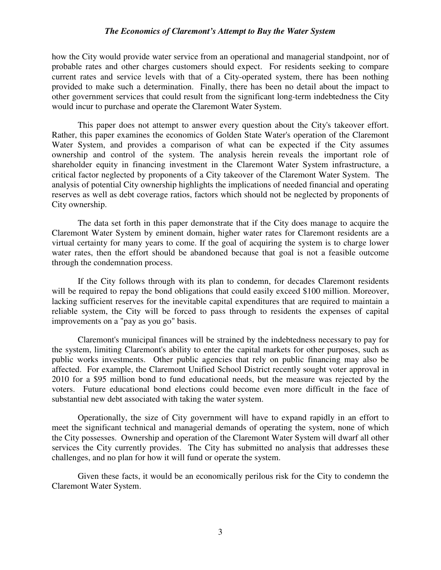how the City would provide water service from an operational and managerial standpoint, nor of probable rates and other charges customers should expect. For residents seeking to compare current rates and service levels with that of a City-operated system, there has been nothing provided to make such a determination. Finally, there has been no detail about the impact to other government services that could result from the significant long-term indebtedness the City would incur to purchase and operate the Claremont Water System.

This paper does not attempt to answer every question about the City's takeover effort. Rather, this paper examines the economics of Golden State Water's operation of the Claremont Water System, and provides a comparison of what can be expected if the City assumes ownership and control of the system. The analysis herein reveals the important role of shareholder equity in financing investment in the Claremont Water System infrastructure, a critical factor neglected by proponents of a City takeover of the Claremont Water System. The analysis of potential City ownership highlights the implications of needed financial and operating reserves as well as debt coverage ratios, factors which should not be neglected by proponents of City ownership.

The data set forth in this paper demonstrate that if the City does manage to acquire the Claremont Water System by eminent domain, higher water rates for Claremont residents are a virtual certainty for many years to come. If the goal of acquiring the system is to charge lower water rates, then the effort should be abandoned because that goal is not a feasible outcome through the condemnation process.

If the City follows through with its plan to condemn, for decades Claremont residents will be required to repay the bond obligations that could easily exceed \$100 million. Moreover, lacking sufficient reserves for the inevitable capital expenditures that are required to maintain a reliable system, the City will be forced to pass through to residents the expenses of capital improvements on a "pay as you go" basis.

Claremont's municipal finances will be strained by the indebtedness necessary to pay for the system, limiting Claremont's ability to enter the capital markets for other purposes, such as public works investments. Other public agencies that rely on public financing may also be affected. For example, the Claremont Unified School District recently sought voter approval in 2010 for a \$95 million bond to fund educational needs, but the measure was rejected by the voters. Future educational bond elections could become even more difficult in the face of substantial new debt associated with taking the water system.

Operationally, the size of City government will have to expand rapidly in an effort to meet the significant technical and managerial demands of operating the system, none of which the City possesses. Ownership and operation of the Claremont Water System will dwarf all other services the City currently provides. The City has submitted no analysis that addresses these challenges, and no plan for how it will fund or operate the system.

Given these facts, it would be an economically perilous risk for the City to condemn the Claremont Water System.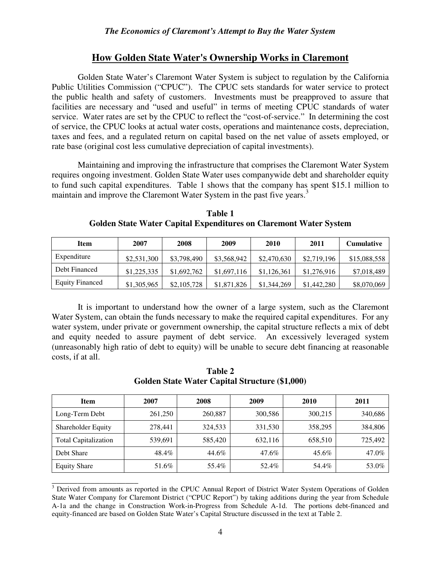## **How Golden State Water's Ownership Works in Claremont**

Golden State Water's Claremont Water System is subject to regulation by the California Public Utilities Commission ("CPUC"). The CPUC sets standards for water service to protect the public health and safety of customers. Investments must be preapproved to assure that facilities are necessary and "used and useful" in terms of meeting CPUC standards of water service. Water rates are set by the CPUC to reflect the "cost-of-service." In determining the cost of service, the CPUC looks at actual water costs, operations and maintenance costs, depreciation, taxes and fees, and a regulated return on capital based on the net value of assets employed, or rate base (original cost less cumulative depreciation of capital investments).

Maintaining and improving the infrastructure that comprises the Claremont Water System requires ongoing investment. Golden State Water uses companywide debt and shareholder equity to fund such capital expenditures. Table 1 shows that the company has spent \$15.1 million to maintain and improve the Claremont Water System in the past five years.<sup>3</sup>

| Item                   | 2007        | 2008        | 2009        | 2010        | 2011        | <b>Cumulative</b> |
|------------------------|-------------|-------------|-------------|-------------|-------------|-------------------|
| Expenditure            | \$2,531,300 | \$3,798,490 | \$3,568,942 | \$2,470,630 | \$2,719,196 | \$15,088,558      |
| Debt Financed          | \$1,225,335 | \$1,692,762 | \$1,697,116 | \$1,126,361 | \$1,276,916 | \$7,018,489       |
| <b>Equity Financed</b> | \$1,305,965 | \$2,105,728 | \$1,871,826 | \$1,344,269 | \$1,442,280 | \$8,070,069       |

**Table 1 Golden State Water Capital Expenditures on Claremont Water System** 

It is important to understand how the owner of a large system, such as the Claremont Water System, can obtain the funds necessary to make the required capital expenditures. For any water system, under private or government ownership, the capital structure reflects a mix of debt and equity needed to assure payment of debt service. An excessively leveraged system (unreasonably high ratio of debt to equity) will be unable to secure debt financing at reasonable costs, if at all.

| Golden State Water Capital Structure (\$1,000) |         |         |         |         |         |  |  |
|------------------------------------------------|---------|---------|---------|---------|---------|--|--|
| <b>Item</b>                                    | 2007    | 2008    | 2009    | 2010    | 2011    |  |  |
| Long-Term Debt                                 | 261,250 | 260,887 | 300,586 | 300,215 | 340,686 |  |  |
| <b>Shareholder Equity</b>                      | 278,441 | 324,533 | 331,530 | 358,295 | 384,806 |  |  |
| <b>Total Capitalization</b>                    | 539,691 | 585,420 | 632,116 | 658,510 | 725,492 |  |  |
| Debt Share                                     | 48.4%   | 44.6%   | 47.6%   | 45.6%   | 47.0%   |  |  |
| <b>Equity Share</b>                            | 51.6%   | 55.4%   | 52.4%   | 54.4%   | 53.0%   |  |  |

**Table 2 Golden State Water Capital Structure (\$1,000)** 

<sup>&</sup>lt;sup>3</sup> Derived from amounts as reported in the CPUC Annual Report of District Water System Operations of Golden State Water Company for Claremont District ("CPUC Report") by taking additions during the year from Schedule A-1a and the change in Construction Work-in-Progress from Schedule A-1d. The portions debt-financed and equity-financed are based on Golden State Water's Capital Structure discussed in the text at Table 2.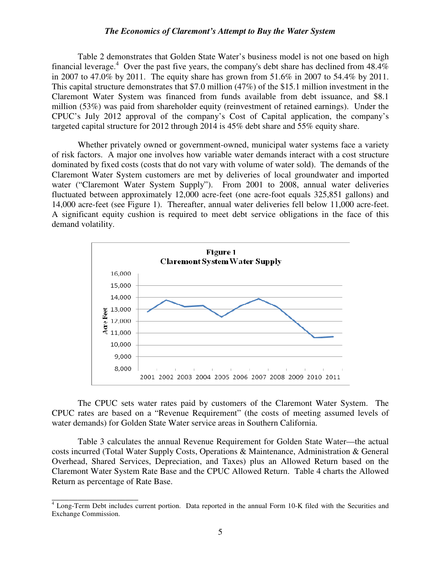Table 2 demonstrates that Golden State Water's business model is not one based on high financial leverage.<sup>4</sup> Over the past five years, the company's debt share has declined from  $48.4\%$ in 2007 to 47.0% by 2011. The equity share has grown from 51.6% in 2007 to 54.4% by 2011. This capital structure demonstrates that \$7.0 million (47%) of the \$15.1 million investment in the Claremont Water System was financed from funds available from debt issuance, and \$8.1 million (53%) was paid from shareholder equity (reinvestment of retained earnings). Under the CPUC's July 2012 approval of the company's Cost of Capital application, the company's targeted capital structure for 2012 through 2014 is 45% debt share and 55% equity share.

Whether privately owned or government-owned, municipal water systems face a variety of risk factors. A major one involves how variable water demands interact with a cost structure dominated by fixed costs (costs that do not vary with volume of water sold). The demands of the Claremont Water System customers are met by deliveries of local groundwater and imported water ("Claremont Water System Supply"). From 2001 to 2008, annual water deliveries fluctuated between approximately 12,000 acre-feet (one acre-foot equals 325,851 gallons) and 14,000 acre-feet (see Figure 1). Thereafter, annual water deliveries fell below 11,000 acre-feet. A significant equity cushion is required to meet debt service obligations in the face of this demand volatility.



The CPUC sets water rates paid by customers of the Claremont Water System. The CPUC rates are based on a "Revenue Requirement" (the costs of meeting assumed levels of water demands) for Golden State Water service areas in Southern California.

Table 3 calculates the annual Revenue Requirement for Golden State Water—the actual costs incurred (Total Water Supply Costs, Operations & Maintenance, Administration & General Overhead, Shared Services, Depreciation, and Taxes) plus an Allowed Return based on the Claremont Water System Rate Base and the CPUC Allowed Return. Table 4 charts the Allowed Return as percentage of Rate Base.

<sup>&</sup>lt;sup>4</sup> Long-Term Debt includes current portion. Data reported in the annual Form 10-K filed with the Securities and Exchange Commission.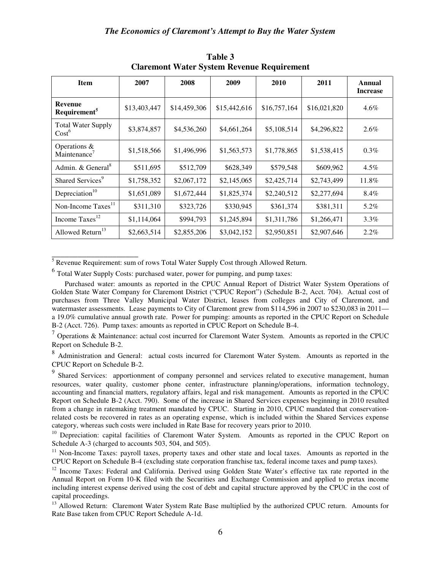| <b>Item</b>                                    | 2007         | 2008         | 2009         | 2010         | 2011         | <b>Annual</b><br><b>Increase</b> |
|------------------------------------------------|--------------|--------------|--------------|--------------|--------------|----------------------------------|
| <b>Revenue</b><br>Requirement <sup>5</sup>     | \$13,403,447 | \$14,459,306 | \$15,442,616 | \$16,757,164 | \$16,021,820 | $4.6\%$                          |
| <b>Total Water Supply</b><br>Cost <sup>6</sup> | \$3,874,857  | \$4,536,260  | \$4,661,264  | \$5,108,514  | \$4,296,822  | 2.6%                             |
| Operations &<br>$M$ aintenance <sup>7</sup>    | \$1,518,566  | \$1,496,996  | \$1,563,573  | \$1,778,865  | \$1,538,415  | $0.3\%$                          |
| Admin. & General <sup>8</sup>                  | \$511,695    | \$512,709    | \$628,349    | \$579,548    | \$609,962    | $4.5\%$                          |
| Shared Services <sup>9</sup>                   | \$1,758,352  | \$2,067,172  | \$2,145,065  | \$2,425,714  | \$2,743,499  | 11.8%                            |
| Depreciation <sup>10</sup>                     | \$1,651,089  | \$1,672,444  | \$1,825,374  | \$2,240,512  | \$2,277,694  | 8.4%                             |
| Non-Income Taxes <sup>11</sup>                 | \$311,310    | \$323,726    | \$330,945    | \$361,374    | \$381,311    | 5.2%                             |
| Income Taxes <sup>12</sup>                     | \$1,114,064  | \$994,793    | \$1,245,894  | \$1,311,786  | \$1,266,471  | $3.3\%$                          |
| Allowed Return <sup>13</sup>                   | \$2,663,514  | \$2,855,206  | \$3,042,152  | \$2,950,851  | \$2,907,646  | $2.2\%$                          |

**Table 3 Claremont Water System Revenue Requirement** 

<sup>5</sup><br>Revenue Requirement: sum of rows Total Water Supply Cost through Allowed Return.

<sup>6</sup> Total Water Supply Costs: purchased water, power for pumping, and pump taxes:

Purchased water: amounts as reported in the CPUC Annual Report of District Water System Operations of Golden State Water Company for Claremont District ("CPUC Report") (Schedule B-2, Acct. 704). Actual cost of purchases from Three Valley Municipal Water District, leases from colleges and City of Claremont, and watermaster assessments. Lease payments to City of Claremont grew from \$114,596 in 2007 to \$230,083 in 2011 a 19.0% cumulative annual growth rate. Power for pumping: amounts as reported in the CPUC Report on Schedule B-2 (Acct. 726). Pump taxes: amounts as reported in CPUC Report on Schedule B-4.

 $<sup>7</sup>$  Operations & Maintenance: actual cost incurred for Claremont Water System. Amounts as reported in the CPUC</sup> Report on Schedule B-2.

<sup>8</sup> Administration and General: actual costs incurred for Claremont Water System. Amounts as reported in the CPUC Report on Schedule B-2.

<sup>9</sup> Shared Services: apportionment of company personnel and services related to executive management, human resources, water quality, customer phone center, infrastructure planning/operations, information technology, accounting and financial matters, regulatory affairs, legal and risk management. Amounts as reported in the CPUC Report on Schedule B-2 (Acct. 790). Some of the increase in Shared Services expenses beginning in 2010 resulted from a change in ratemaking treatment mandated by CPUC. Starting in 2010, CPUC mandated that conservationrelated costs be recovered in rates as an operating expense, which is included within the Shared Services expense category, whereas such costs were included in Rate Base for recovery years prior to 2010.

<sup>10</sup> Depreciation: capital facilities of Claremont Water System. Amounts as reported in the CPUC Report on Schedule A-3 (charged to accounts 503, 504, and 505).

<sup>11</sup> Non-Income Taxes: payroll taxes, property taxes and other state and local taxes. Amounts as reported in the CPUC Report on Schedule B-4 (excluding state corporation franchise tax, federal income taxes and pump taxes).

<sup>12</sup> Income Taxes: Federal and California. Derived using Golden State Water's effective tax rate reported in the Annual Report on Form 10-K filed with the Securities and Exchange Commission and applied to pretax income including interest expense derived using the cost of debt and capital structure approved by the CPUC in the cost of capital proceedings.

<sup>13</sup> Allowed Return: Claremont Water System Rate Base multiplied by the authorized CPUC return. Amounts for Rate Base taken from CPUC Report Schedule A-1d.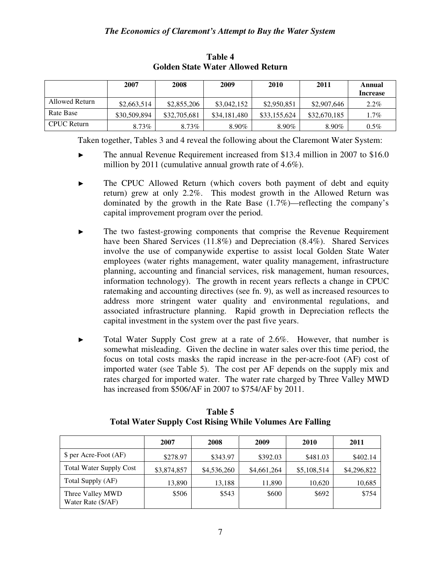|                | 2007         | 2008         | 2009         | 2010         | 2011         | Annual<br><b>Increase</b> |
|----------------|--------------|--------------|--------------|--------------|--------------|---------------------------|
| Allowed Return | \$2,663,514  | \$2,855,206  | \$3,042,152  | \$2,950,851  | \$2,907,646  | $2.2\%$                   |
| Rate Base      | \$30,509,894 | \$32,705,681 | \$34,181,480 | \$33,155,624 | \$32,670,185 | 1.7%                      |
| CPUC Return    | 8.73%        | 8.73%        | $8.90\%$     | $8.90\%$     | 8.90%        | $0.5\%$                   |

**Table 4 Golden State Water Allowed Return** 

Taken together, Tables 3 and 4 reveal the following about the Claremont Water System:

- ► The annual Revenue Requirement increased from \$13.4 million in 2007 to \$16.0 million by 2011 (cumulative annual growth rate of 4.6%).
- ► The CPUC Allowed Return (which covers both payment of debt and equity return) grew at only 2.2%. This modest growth in the Allowed Return was dominated by the growth in the Rate Base (1.7%)—reflecting the company's capital improvement program over the period.
- ► The two fastest-growing components that comprise the Revenue Requirement have been Shared Services (11.8%) and Depreciation (8.4%). Shared Services involve the use of companywide expertise to assist local Golden State Water employees (water rights management, water quality management, infrastructure planning, accounting and financial services, risk management, human resources, information technology). The growth in recent years reflects a change in CPUC ratemaking and accounting directives (see fn. 9), as well as increased resources to address more stringent water quality and environmental regulations, and associated infrastructure planning. Rapid growth in Depreciation reflects the capital investment in the system over the past five years.
- ► Total Water Supply Cost grew at a rate of 2.6%. However, that number is somewhat misleading. Given the decline in water sales over this time period, the focus on total costs masks the rapid increase in the per-acre-foot (AF) cost of imported water (see Table 5). The cost per AF depends on the supply mix and rates charged for imported water. The water rate charged by Three Valley MWD has increased from \$506/AF in 2007 to \$754/AF by 2011.

|                                        | 2007        | 2008        | 2009        | 2010        | 2011        |
|----------------------------------------|-------------|-------------|-------------|-------------|-------------|
| \$ per Acre-Foot (AF)                  | \$278.97    | \$343.97    | \$392.03    | \$481.03    | \$402.14    |
| <b>Total Water Supply Cost</b>         | \$3,874,857 | \$4,536,260 | \$4,661,264 | \$5,108,514 | \$4,296,822 |
| Total Supply (AF)                      | 13,890      | 13,188      | 11,890      | 10,620      | 10,685      |
| Three Valley MWD<br>Water Rate (\$/AF) | \$506       | \$543       | \$600       | \$692       | \$754       |

**Table 5 Total Water Supply Cost Rising While Volumes Are Falling**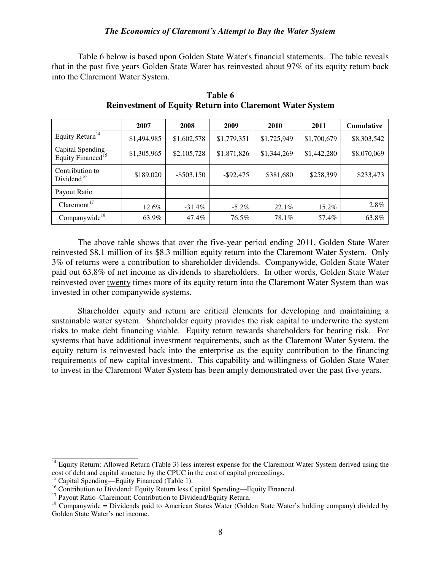Table 6 below is based upon Golden State Water's financial statements. The table reveals that in the past five years Golden State Water has reinvested about 97% of its equity return back into the Claremont Water System.

|                                                    | 2007        | 2008          | 2009         | 2010        | 2011        | <b>Cumulative</b> |
|----------------------------------------------------|-------------|---------------|--------------|-------------|-------------|-------------------|
| Equity Return <sup>14</sup>                        | \$1,494,985 | \$1,602,578   | \$1,779,351  | \$1,725,949 | \$1,700,679 | \$8,303,542       |
| Capital Spending—<br>Equity Financed <sup>15</sup> | \$1,305,965 | \$2,105,728   | \$1,871,826  | \$1,344,269 | \$1,442,280 | \$8,070,069       |
| Contribution to<br>Dividend <sup>16</sup>          | \$189,020   | $-$ \$503,150 | $-$ \$92,475 | \$381,680   | \$258,399   | \$233,473         |
| Payout Ratio                                       |             |               |              |             |             |                   |
| Claremont <sup>17</sup>                            | 12.6%       | $-31.4\%$     | $-5.2\%$     | 22.1%       | 15.2%       | 2.8%              |
| Companywide <sup>18</sup>                          | 63.9%       | 47.4%         | 76.5%        | 78.1%       | 57.4%       | 63.8%             |

**Table 6 Reinvestment of Equity Return into Claremont Water System** 

The above table shows that over the five-year period ending 2011, Golden State Water reinvested \$8.1 million of its \$8.3 million equity return into the Claremont Water System. Only 3% of returns were a contribution to shareholder dividends. Companywide, Golden State Water paid out 63.8% of net income as dividends to shareholders. In other words, Golden State Water reinvested over twenty times more of its equity return into the Claremont Water System than was invested in other companywide systems.

Shareholder equity and return are critical elements for developing and maintaining a sustainable water system. Shareholder equity provides the risk capital to underwrite the system risks to make debt financing viable. Equity return rewards shareholders for bearing risk. For systems that have additional investment requirements, such as the Claremont Water System, the equity return is reinvested back into the enterprise as the equity contribution to the financing requirements of new capital investment. This capability and willingness of Golden State Water to invest in the Claremont Water System has been amply demonstrated over the past five years.

<sup>&</sup>lt;sup>14</sup> Equity Return: Allowed Return (Table 3) less interest expense for the Claremont Water System derived using the cost of debt and capital structure by the CPUC in the cost of capital proceedings.

<sup>&</sup>lt;sup>15</sup> Capital Spending—Equity Financed (Table 1).

<sup>&</sup>lt;sup>16</sup> Contribution to Dividend: Equity Return less Capital Spending—Equity Financed.

<sup>&</sup>lt;sup>17</sup> Payout Ratio–Claremont: Contribution to Dividend/Equity Return.

 $18$  Companywide = Dividends paid to American States Water (Golden State Water's holding company) divided by Golden State Water's net income.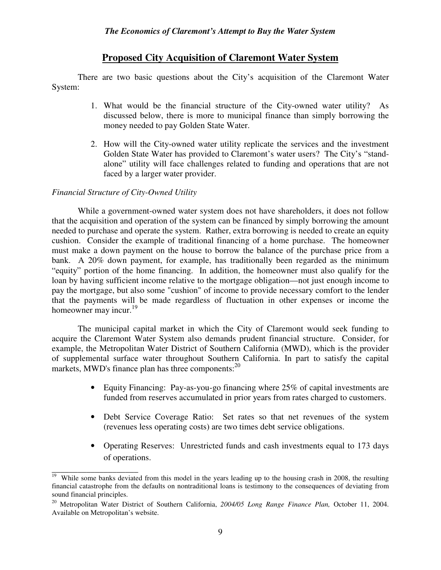## **Proposed City Acquisition of Claremont Water System**

There are two basic questions about the City's acquisition of the Claremont Water System:

- 1. What would be the financial structure of the City-owned water utility? As discussed below, there is more to municipal finance than simply borrowing the money needed to pay Golden State Water.
- 2. How will the City-owned water utility replicate the services and the investment Golden State Water has provided to Claremont's water users? The City's "standalone" utility will face challenges related to funding and operations that are not faced by a larger water provider.

### *Financial Structure of City-Owned Utility*

While a government-owned water system does not have shareholders, it does not follow that the acquisition and operation of the system can be financed by simply borrowing the amount needed to purchase and operate the system. Rather, extra borrowing is needed to create an equity cushion. Consider the example of traditional financing of a home purchase. The homeowner must make a down payment on the house to borrow the balance of the purchase price from a bank. A 20% down payment, for example, has traditionally been regarded as the minimum "equity" portion of the home financing. In addition, the homeowner must also qualify for the loan by having sufficient income relative to the mortgage obligation—not just enough income to pay the mortgage, but also some "cushion" of income to provide necessary comfort to the lender that the payments will be made regardless of fluctuation in other expenses or income the homeowner may incur.<sup>19</sup>

The municipal capital market in which the City of Claremont would seek funding to acquire the Claremont Water System also demands prudent financial structure. Consider, for example, the Metropolitan Water District of Southern California (MWD), which is the provider of supplemental surface water throughout Southern California. In part to satisfy the capital markets, MWD's finance plan has three components:<sup>20</sup>

- Equity Financing: Pay-as-you-go financing where 25% of capital investments are funded from reserves accumulated in prior years from rates charged to customers.
- Debt Service Coverage Ratio: Set rates so that net revenues of the system (revenues less operating costs) are two times debt service obligations.
- Operating Reserves: Unrestricted funds and cash investments equal to 173 days of operations.

\_\_\_\_\_\_\_\_\_\_\_\_\_\_\_\_\_\_\_\_ <sup>19</sup> While some banks deviated from this model in the years leading up to the housing crash in 2008, the resulting financial catastrophe from the defaults on nontraditional loans is testimony to the consequences of deviating from sound financial principles.

<sup>20</sup> Metropolitan Water District of Southern California, *2004/05 Long Range Finance Plan,* October 11, 2004. Available on Metropolitan's website.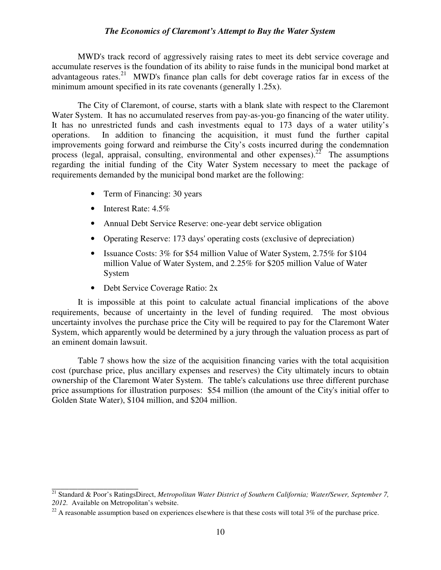MWD's track record of aggressively raising rates to meet its debt service coverage and accumulate reserves is the foundation of its ability to raise funds in the municipal bond market at advantageous rates.<sup>21</sup> MWD's finance plan calls for debt coverage ratios far in excess of the minimum amount specified in its rate covenants (generally 1.25x).

The City of Claremont, of course, starts with a blank slate with respect to the Claremont Water System. It has no accumulated reserves from pay-as-you-go financing of the water utility. It has no unrestricted funds and cash investments equal to 173 days of a water utility's operations. In addition to financing the acquisition, it must fund the further capital improvements going forward and reimburse the City's costs incurred during the condemnation process (legal, appraisal, consulting, environmental and other expenses).<sup>22</sup> The assumptions regarding the initial funding of the City Water System necessary to meet the package of requirements demanded by the municipal bond market are the following:

- Term of Financing: 30 years
- Interest Rate:  $4.5\%$

\_\_\_\_\_\_\_\_\_\_\_\_\_\_\_\_\_\_\_\_

- Annual Debt Service Reserve: one-year debt service obligation
- Operating Reserve: 173 days' operating costs (exclusive of depreciation)
- Issuance Costs: 3% for \$54 million Value of Water System, 2.75% for \$104 million Value of Water System, and 2.25% for \$205 million Value of Water System
- Debt Service Coverage Ratio: 2x

It is impossible at this point to calculate actual financial implications of the above requirements, because of uncertainty in the level of funding required. The most obvious uncertainty involves the purchase price the City will be required to pay for the Claremont Water System, which apparently would be determined by a jury through the valuation process as part of an eminent domain lawsuit.

Table 7 shows how the size of the acquisition financing varies with the total acquisition cost (purchase price, plus ancillary expenses and reserves) the City ultimately incurs to obtain ownership of the Claremont Water System. The table's calculations use three different purchase price assumptions for illustration purposes: \$54 million (the amount of the City's initial offer to Golden State Water), \$104 million, and \$204 million.

<sup>21</sup> Standard & Poor's RatingsDirect, *Metropolitan Water District of Southern California; Water/Sewer, September 7, 2012.* Available on Metropolitan's website.

 $^{22}$  A reasonable assumption based on experiences elsewhere is that these costs will total 3% of the purchase price.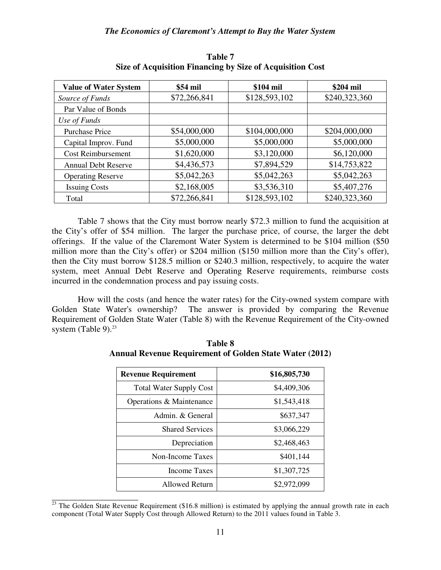| <b>Value of Water System</b> | \$54 mil     | \$104 mil     | \$204 mil     |
|------------------------------|--------------|---------------|---------------|
| Source of Funds              | \$72,266,841 | \$128,593,102 | \$240,323,360 |
| Par Value of Bonds           |              |               |               |
| Use of Funds                 |              |               |               |
| <b>Purchase Price</b>        | \$54,000,000 | \$104,000,000 | \$204,000,000 |
| Capital Improv. Fund         | \$5,000,000  | \$5,000,000   | \$5,000,000   |
| <b>Cost Reimbursement</b>    | \$1,620,000  | \$3,120,000   | \$6,120,000   |
| <b>Annual Debt Reserve</b>   | \$4,436,573  | \$7,894,529   | \$14,753,822  |
| <b>Operating Reserve</b>     | \$5,042,263  | \$5,042,263   | \$5,042,263   |
| <b>Issuing Costs</b>         | \$2,168,005  | \$3,536,310   | \$5,407,276   |
| Total                        | \$72,266,841 | \$128,593,102 | \$240,323,360 |

**Table 7 Size of Acquisition Financing by Size of Acquisition Cost** 

Table 7 shows that the City must borrow nearly \$72.3 million to fund the acquisition at the City's offer of \$54 million. The larger the purchase price, of course, the larger the debt offerings. If the value of the Claremont Water System is determined to be \$104 million (\$50 million more than the City's offer) or \$204 million (\$150 million more than the City's offer), then the City must borrow \$128.5 million or \$240.3 million, respectively, to acquire the water system, meet Annual Debt Reserve and Operating Reserve requirements, reimburse costs incurred in the condemnation process and pay issuing costs.

How will the costs (and hence the water rates) for the City-owned system compare with Golden State Water's ownership? The answer is provided by comparing the Revenue Requirement of Golden State Water (Table 8) with the Revenue Requirement of the City-owned system (Table 9). $^{23}$ 

| <b>Revenue Requirement</b>     | \$16,805,730 |
|--------------------------------|--------------|
| <b>Total Water Supply Cost</b> | \$4,409,306  |
| Operations & Maintenance       | \$1,543,418  |
| Admin. & General               | \$637,347    |
| <b>Shared Services</b>         | \$3,066,229  |
| Depreciation                   | \$2,468,463  |
| Non-Income Taxes               | \$401,144    |
| Income Taxes                   | \$1,307,725  |
| <b>Allowed Return</b>          | \$2,972,099  |

**Table 8 Annual Revenue Requirement of Golden State Water (2012)** 

 $^{23}$  The Golden State Revenue Requirement (\$16.8 million) is estimated by applying the annual growth rate in each component (Total Water Supply Cost through Allowed Return) to the 2011 values found in Table 3.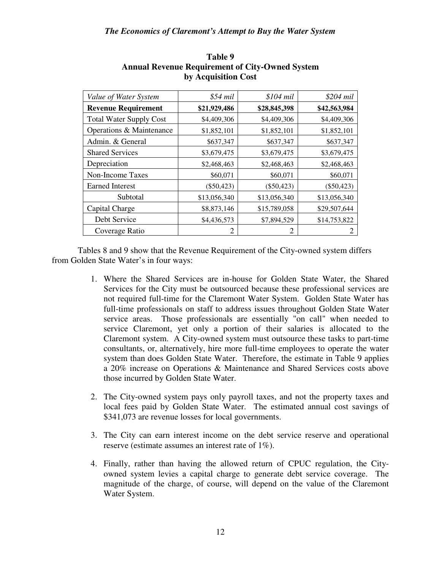| Value of Water System          | \$54 mil     | $$104$ mil   | \$204 mil    |
|--------------------------------|--------------|--------------|--------------|
| <b>Revenue Requirement</b>     | \$21,929,486 | \$28,845,398 | \$42,563,984 |
| <b>Total Water Supply Cost</b> | \$4,409,306  | \$4,409,306  | \$4,409,306  |
| Operations & Maintenance       | \$1,852,101  | \$1,852,101  | \$1,852,101  |
| Admin. & General               | \$637,347    | \$637,347    | \$637,347    |
| <b>Shared Services</b>         | \$3,679,475  | \$3,679,475  | \$3,679,475  |
| Depreciation                   | \$2,468,463  | \$2,468,463  | \$2,468,463  |
| Non-Income Taxes               | \$60,071     | \$60,071     | \$60,071     |
| <b>Earned Interest</b>         | $(\$50,423)$ | $(\$50,423)$ | $(\$50,423)$ |
| Subtotal                       | \$13,056,340 | \$13,056,340 | \$13,056,340 |
| Capital Charge                 | \$8,873,146  | \$15,789,058 | \$29,507,644 |
| Debt Service                   | \$4,436,573  | \$7,894,529  | \$14,753,822 |
| Coverage Ratio                 | 2            | 2            |              |

### **Table 9 Annual Revenue Requirement of City-Owned System by Acquisition Cost**

Tables 8 and 9 show that the Revenue Requirement of the City-owned system differs from Golden State Water's in four ways:

- 1. Where the Shared Services are in-house for Golden State Water, the Shared Services for the City must be outsourced because these professional services are not required full-time for the Claremont Water System. Golden State Water has full-time professionals on staff to address issues throughout Golden State Water service areas. Those professionals are essentially "on call" when needed to service Claremont, yet only a portion of their salaries is allocated to the Claremont system. A City-owned system must outsource these tasks to part-time consultants, or, alternatively, hire more full-time employees to operate the water system than does Golden State Water. Therefore, the estimate in Table 9 applies a 20% increase on Operations & Maintenance and Shared Services costs above those incurred by Golden State Water.
- 2. The City-owned system pays only payroll taxes, and not the property taxes and local fees paid by Golden State Water. The estimated annual cost savings of \$341,073 are revenue losses for local governments.
- 3. The City can earn interest income on the debt service reserve and operational reserve (estimate assumes an interest rate of 1%).
- 4. Finally, rather than having the allowed return of CPUC regulation, the Cityowned system levies a capital charge to generate debt service coverage. The magnitude of the charge, of course, will depend on the value of the Claremont Water System.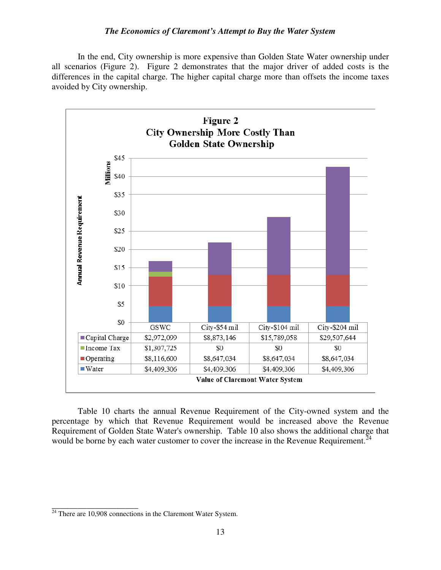In the end, City ownership is more expensive than Golden State Water ownership under all scenarios (Figure 2). Figure 2 demonstrates that the major driver of added costs is the differences in the capital charge. The higher capital charge more than offsets the income taxes avoided by City ownership.



Table 10 charts the annual Revenue Requirement of the City-owned system and the percentage by which that Revenue Requirement would be increased above the Revenue Requirement of Golden State Water's ownership. Table 10 also shows the additional charge that would be borne by each water customer to cover the increase in the Revenue Requirement. $^{24}$ 

 $24$  There are 10,908 connections in the Claremont Water System.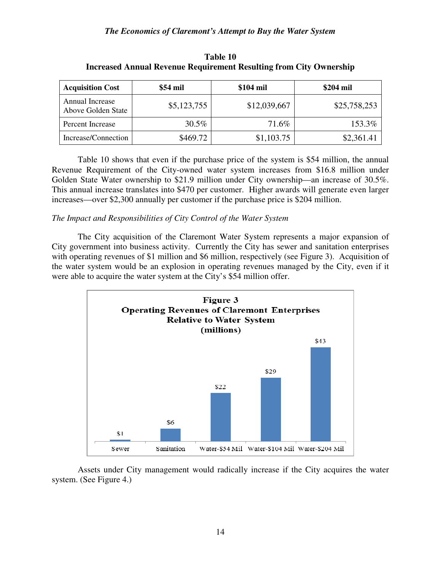| <b>Acquisition Cost</b>               | \$54 mil    | \$104 mil    | \$204 mil    |
|---------------------------------------|-------------|--------------|--------------|
| Annual Increase<br>Above Golden State | \$5,123,755 | \$12,039,667 | \$25,758,253 |
| Percent Increase                      | $30.5\%$    | 71.6%        | 153.3%       |
| Increase/Connection                   | \$469.72    | \$1,103.75   | \$2,361.41   |

**Table 10 Increased Annual Revenue Requirement Resulting from City Ownership** 

Table 10 shows that even if the purchase price of the system is \$54 million, the annual Revenue Requirement of the City-owned water system increases from \$16.8 million under Golden State Water ownership to \$21.9 million under City ownership—an increase of 30.5%. This annual increase translates into \$470 per customer. Higher awards will generate even larger increases—over \$2,300 annually per customer if the purchase price is \$204 million.

### *The Impact and Responsibilities of City Control of the Water System*

The City acquisition of the Claremont Water System represents a major expansion of City government into business activity. Currently the City has sewer and sanitation enterprises with operating revenues of \$1 million and \$6 million, respectively (see Figure 3). Acquisition of the water system would be an explosion in operating revenues managed by the City, even if it were able to acquire the water system at the City's \$54 million offer.



Assets under City management would radically increase if the City acquires the water system. (See Figure 4.)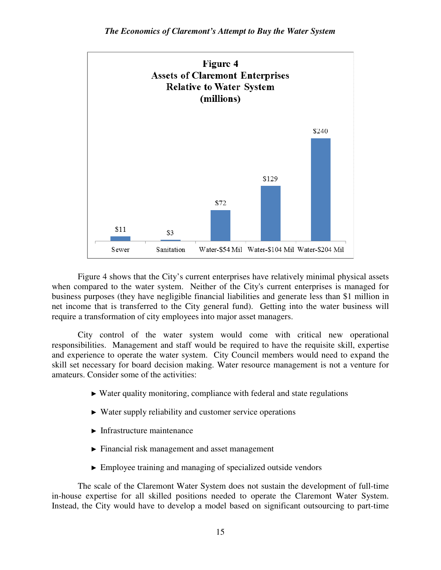

Figure 4 shows that the City's current enterprises have relatively minimal physical assets when compared to the water system. Neither of the City's current enterprises is managed for business purposes (they have negligible financial liabilities and generate less than \$1 million in net income that is transferred to the City general fund). Getting into the water business will require a transformation of city employees into major asset managers.

City control of the water system would come with critical new operational responsibilities. Management and staff would be required to have the requisite skill, expertise and experience to operate the water system. City Council members would need to expand the skill set necessary for board decision making. Water resource management is not a venture for amateurs. Consider some of the activities:

- $\triangleright$  Water quality monitoring, compliance with federal and state regulations
- ► Water supply reliability and customer service operations
- ► Infrastructure maintenance
- $\blacktriangleright$  Financial risk management and asset management
- ► Employee training and managing of specialized outside vendors

The scale of the Claremont Water System does not sustain the development of full-time in-house expertise for all skilled positions needed to operate the Claremont Water System. Instead, the City would have to develop a model based on significant outsourcing to part-time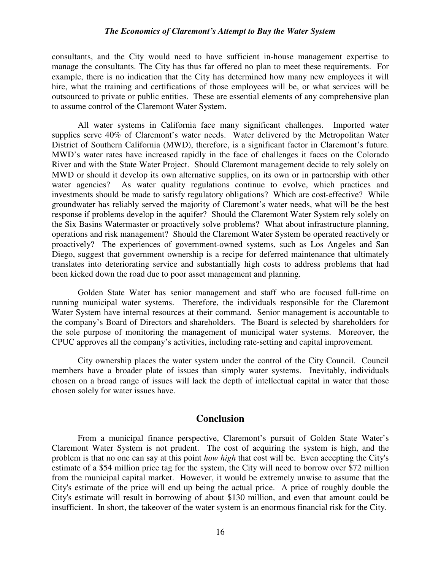consultants, and the City would need to have sufficient in-house management expertise to manage the consultants. The City has thus far offered no plan to meet these requirements. For example, there is no indication that the City has determined how many new employees it will hire, what the training and certifications of those employees will be, or what services will be outsourced to private or public entities. These are essential elements of any comprehensive plan to assume control of the Claremont Water System.

All water systems in California face many significant challenges. Imported water supplies serve 40% of Claremont's water needs. Water delivered by the Metropolitan Water District of Southern California (MWD), therefore, is a significant factor in Claremont's future. MWD's water rates have increased rapidly in the face of challenges it faces on the Colorado River and with the State Water Project. Should Claremont management decide to rely solely on MWD or should it develop its own alternative supplies, on its own or in partnership with other water agencies? As water quality regulations continue to evolve, which practices and investments should be made to satisfy regulatory obligations? Which are cost-effective? While groundwater has reliably served the majority of Claremont's water needs, what will be the best response if problems develop in the aquifer? Should the Claremont Water System rely solely on the Six Basins Watermaster or proactively solve problems? What about infrastructure planning, operations and risk management? Should the Claremont Water System be operated reactively or proactively? The experiences of government-owned systems, such as Los Angeles and San Diego, suggest that government ownership is a recipe for deferred maintenance that ultimately translates into deteriorating service and substantially high costs to address problems that had been kicked down the road due to poor asset management and planning.

Golden State Water has senior management and staff who are focused full-time on running municipal water systems. Therefore, the individuals responsible for the Claremont Water System have internal resources at their command. Senior management is accountable to the company's Board of Directors and shareholders. The Board is selected by shareholders for the sole purpose of monitoring the management of municipal water systems. Moreover, the CPUC approves all the company's activities, including rate-setting and capital improvement.

City ownership places the water system under the control of the City Council. Council members have a broader plate of issues than simply water systems. Inevitably, individuals chosen on a broad range of issues will lack the depth of intellectual capital in water that those chosen solely for water issues have.

### **Conclusion**

From a municipal finance perspective, Claremont's pursuit of Golden State Water's Claremont Water System is not prudent. The cost of acquiring the system is high, and the problem is that no one can say at this point *how high* that cost will be. Even accepting the City's estimate of a \$54 million price tag for the system, the City will need to borrow over \$72 million from the municipal capital market. However, it would be extremely unwise to assume that the City's estimate of the price will end up being the actual price. A price of roughly double the City's estimate will result in borrowing of about \$130 million, and even that amount could be insufficient. In short, the takeover of the water system is an enormous financial risk for the City.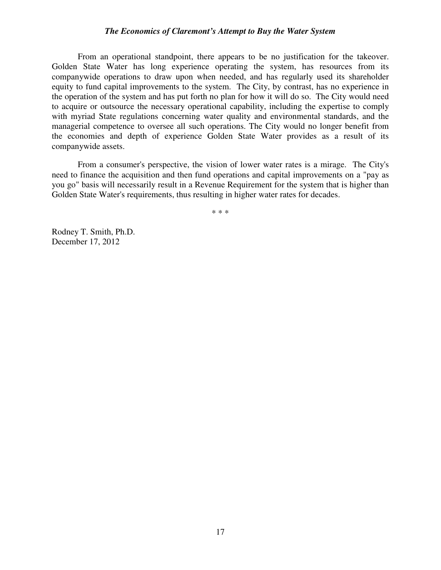From an operational standpoint, there appears to be no justification for the takeover. Golden State Water has long experience operating the system, has resources from its companywide operations to draw upon when needed, and has regularly used its shareholder equity to fund capital improvements to the system. The City, by contrast, has no experience in the operation of the system and has put forth no plan for how it will do so. The City would need to acquire or outsource the necessary operational capability, including the expertise to comply with myriad State regulations concerning water quality and environmental standards, and the managerial competence to oversee all such operations. The City would no longer benefit from the economies and depth of experience Golden State Water provides as a result of its companywide assets.

From a consumer's perspective, the vision of lower water rates is a mirage. The City's need to finance the acquisition and then fund operations and capital improvements on a "pay as you go" basis will necessarily result in a Revenue Requirement for the system that is higher than Golden State Water's requirements, thus resulting in higher water rates for decades.

\* \* \*

Rodney T. Smith, Ph.D. December 17, 2012